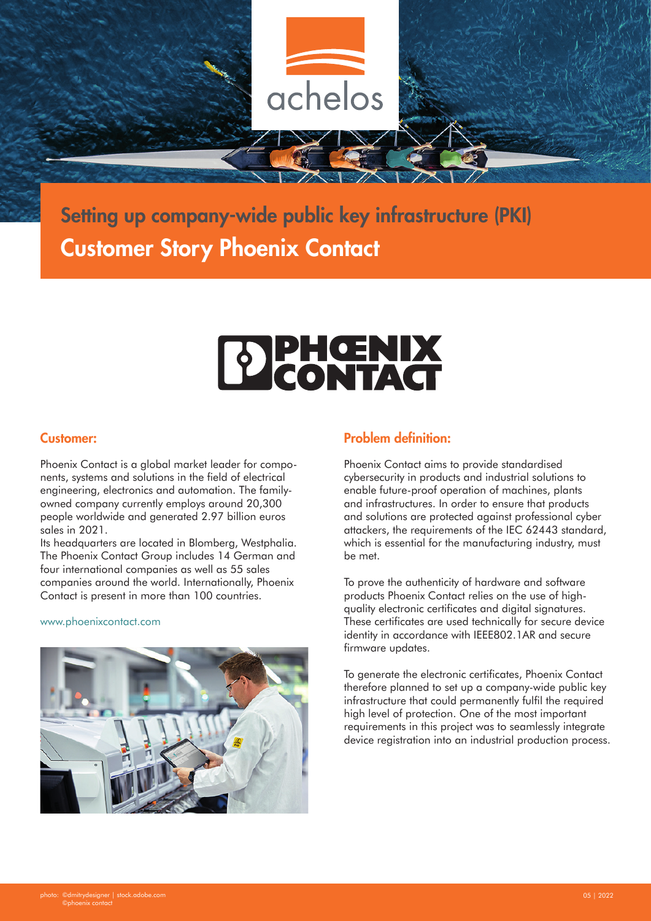

### Setting up company-wide public key infrastructure (PKI) Customer Story Phoenix Contact

# DIPHOENIX

#### Customer:

Phoenix Contact is a global market leader for components, systems and solutions in the field of electrical engineering, electronics and automation. The familyowned company currently employs around 20,300 people worldwide and generated 2.97 billion euros sales in 2021.

Its headquarters are located in Blomberg, Westphalia. The Phoenix Contact Group includes 14 German and four international companies as well as 55 sales companies around the world. Internationally, Phoenix Contact is present in more than 100 countries.

#### www.phoenixcontact.com



#### Problem definition:

Phoenix Contact aims to provide standardised cybersecurity in products and industrial solutions to enable future-proof operation of machines, plants and infrastructures. In order to ensure that products and solutions are protected against professional cyber attackers, the requirements of the IEC 62443 standard, which is essential for the manufacturing industry, must be met.

To prove the authenticity of hardware and software products Phoenix Contact relies on the use of highquality electronic certificates and digital signatures. These certificates are used technically for secure device identity in accordance with IEEE802.1AR and secure firmware updates.

To generate the electronic certificates, Phoenix Contact therefore planned to set up a company-wide public key infrastructure that could permanently fulfil the required high level of protection. One of the most important requirements in this project was to seamlessly integrate device registration into an industrial production process.